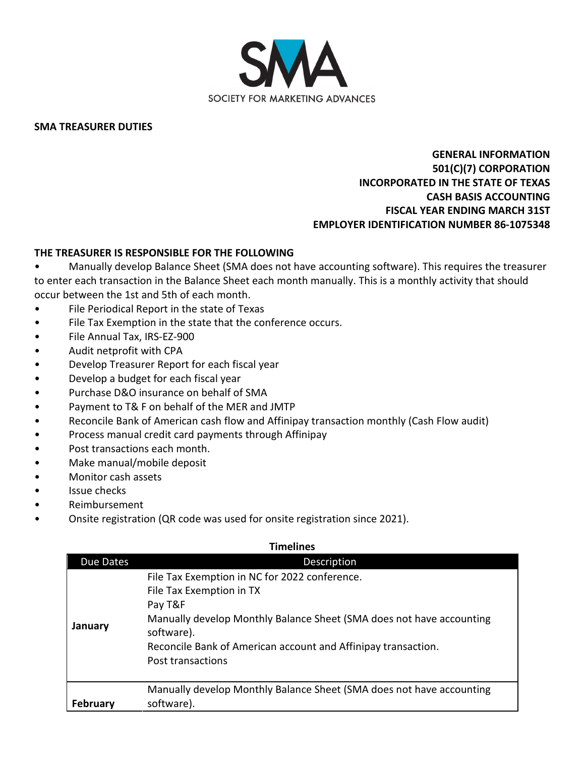

**SMA TREASURER DUTIES**

## **GENERAL INFORMATION 501(C)(7) CORPORATION INCORPORATED IN THE STATE OF TEXAS CASH BASIS ACCOUNTING FISCAL YEAR ENDING MARCH 31ST EMPLOYER IDENTIFICATION NUMBER 86-1075348**

## **THE TREASURER IS RESPONSIBLE FOR THE FOLLOWING**

• Manually develop Balance Sheet (SMA does not have accounting software). This requires the treasurer to enter each transaction in the Balance Sheet each month manually. This is a monthly activity that should occur between the 1st and 5th of each month.

- File Periodical Report in the state of Texas
- File Tax Exemption in the state that the conference occurs.
- File Annual Tax, IRS-EZ-900
- Audit netprofit with CPA
- Develop Treasurer Report for each fiscal year
- Develop a budget for each fiscal year
- Purchase D&O insurance on behalf of SMA
- Payment to T& F on behalf of the MER and JMTP
- Reconcile Bank of American cash flow and Affinipay transaction monthly (Cash Flow audit)
- Process manual credit card payments through Affinipay
- Post transactions each month.
- Make manual/mobile deposit
- Monitor cash assets
- Issue checks
- Reimbursement
- Onsite registration (QR code was used for onsite registration since 2021).

| Timelines |                                                                                                                                                                                                                                                                  |  |
|-----------|------------------------------------------------------------------------------------------------------------------------------------------------------------------------------------------------------------------------------------------------------------------|--|
| Due Dates | Description                                                                                                                                                                                                                                                      |  |
| January   | File Tax Exemption in NC for 2022 conference.<br>File Tax Exemption in TX<br>Pay T&F<br>Manually develop Monthly Balance Sheet (SMA does not have accounting<br>software).<br>Reconcile Bank of American account and Affinipay transaction.<br>Post transactions |  |
| February  | Manually develop Monthly Balance Sheet (SMA does not have accounting<br>software).                                                                                                                                                                               |  |

## **Timelines**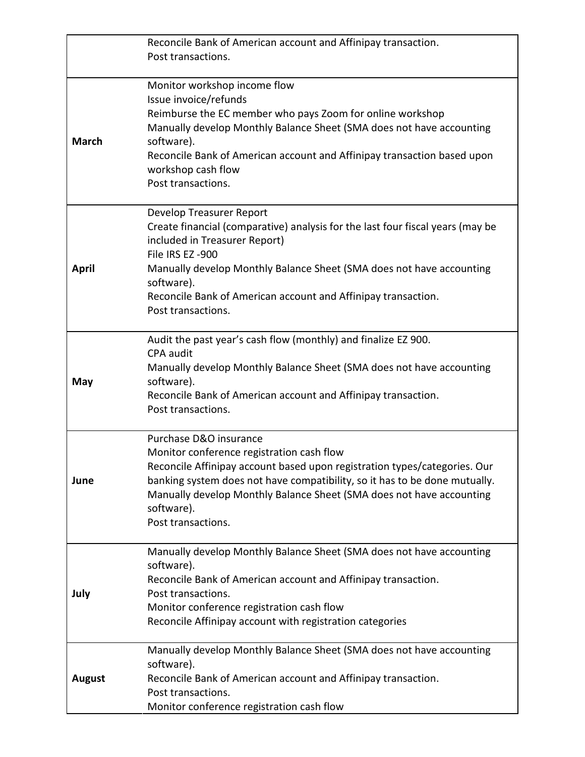|               | Reconcile Bank of American account and Affinipay transaction.                                                          |
|---------------|------------------------------------------------------------------------------------------------------------------------|
|               | Post transactions.                                                                                                     |
|               |                                                                                                                        |
|               | Monitor workshop income flow                                                                                           |
|               | Issue invoice/refunds                                                                                                  |
|               | Reimburse the EC member who pays Zoom for online workshop                                                              |
|               | Manually develop Monthly Balance Sheet (SMA does not have accounting                                                   |
| <b>March</b>  | software).                                                                                                             |
|               | Reconcile Bank of American account and Affinipay transaction based upon<br>workshop cash flow                          |
|               | Post transactions.                                                                                                     |
|               |                                                                                                                        |
|               | Develop Treasurer Report                                                                                               |
|               | Create financial (comparative) analysis for the last four fiscal years (may be                                         |
|               | included in Treasurer Report)                                                                                          |
|               | File IRS EZ -900                                                                                                       |
| <b>April</b>  | Manually develop Monthly Balance Sheet (SMA does not have accounting                                                   |
|               | software).                                                                                                             |
|               | Reconcile Bank of American account and Affinipay transaction.                                                          |
|               | Post transactions.                                                                                                     |
|               | Audit the past year's cash flow (monthly) and finalize EZ 900.                                                         |
|               | <b>CPA</b> audit                                                                                                       |
|               | Manually develop Monthly Balance Sheet (SMA does not have accounting                                                   |
| May           | software).                                                                                                             |
|               | Reconcile Bank of American account and Affinipay transaction.                                                          |
|               | Post transactions.                                                                                                     |
|               |                                                                                                                        |
|               | Purchase D&O insurance                                                                                                 |
|               | Monitor conference registration cash flow<br>Reconcile Affinipay account based upon registration types/categories. Our |
| June          | banking system does not have compatibility, so it has to be done mutually.                                             |
|               | Manually develop Monthly Balance Sheet (SMA does not have accounting                                                   |
|               | software).                                                                                                             |
|               | Post transactions.                                                                                                     |
|               |                                                                                                                        |
|               | Manually develop Monthly Balance Sheet (SMA does not have accounting                                                   |
|               | software).                                                                                                             |
|               | Reconcile Bank of American account and Affinipay transaction.                                                          |
| July          | Post transactions.                                                                                                     |
|               | Monitor conference registration cash flow<br>Reconcile Affinipay account with registration categories                  |
|               |                                                                                                                        |
|               | Manually develop Monthly Balance Sheet (SMA does not have accounting                                                   |
|               | software).                                                                                                             |
| <b>August</b> | Reconcile Bank of American account and Affinipay transaction.                                                          |
|               | Post transactions.                                                                                                     |
|               | Monitor conference registration cash flow                                                                              |